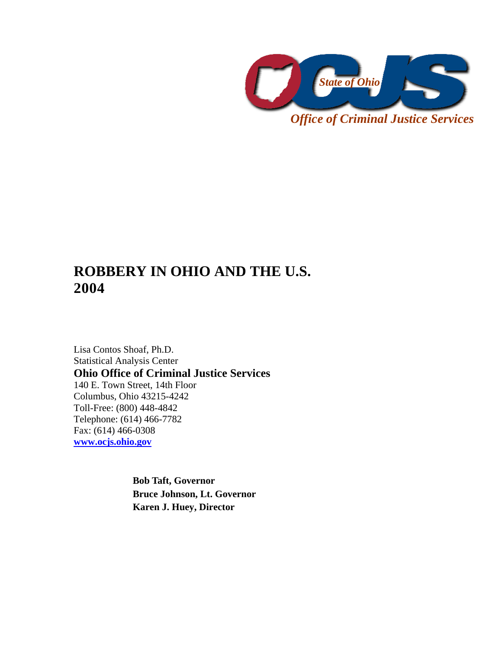

*Office of Criminal Justice Services* 

# **ROBBERY IN OHIO AND THE U.S. 2004**

Lisa Contos Shoaf, Ph.D. Statistical Analysis Center **Ohio Office of Criminal Justice Services**  140 E. Town Street, 14th Floor Columbus, Ohio 43215-4242 Toll-Free: (800) 448-4842 Telephone: (614) 466-7782 Fax: (614) 466-0308 **www.ocjs.ohio.gov**

> **Bob Taft, Governor Bruce Johnson, Lt. Governor Karen J. Huey, Director**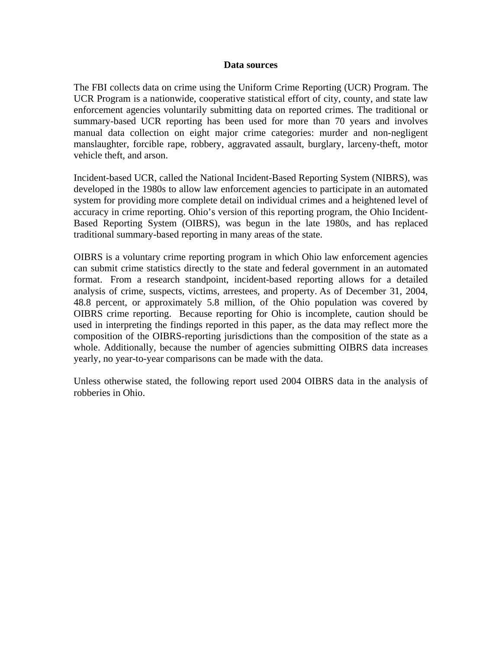#### **Data sources**

The FBI collects data on crime using the Uniform Crime Reporting (UCR) Program. The UCR Program is a nationwide, cooperative statistical effort of city, county, and state law enforcement agencies voluntarily submitting data on reported crimes. The traditional or summary-based UCR reporting has been used for more than 70 years and involves manual data collection on eight major crime categories: murder and non-negligent manslaughter, forcible rape, robbery, aggravated assault, burglary, larceny-theft, motor vehicle theft, and arson.

Incident-based UCR, called the National Incident-Based Reporting System (NIBRS), was developed in the 1980s to allow law enforcement agencies to participate in an automated system for providing more complete detail on individual crimes and a heightened level of accuracy in crime reporting. Ohio's version of this reporting program, the Ohio Incident-Based Reporting System (OIBRS), was begun in the late 1980s, and has replaced traditional summary-based reporting in many areas of the state.

OIBRS is a voluntary crime reporting program in which Ohio law enforcement agencies can submit crime statistics directly to the state and federal government in an automated format. From a research standpoint, incident-based reporting allows for a detailed analysis of crime, suspects, victims, arrestees, and property. As of December 31, 2004, 48.8 percent, or approximately 5.8 million, of the Ohio population was covered by OIBRS crime reporting. Because reporting for Ohio is incomplete, caution should be used in interpreting the findings reported in this paper, as the data may reflect more the composition of the OIBRS-reporting jurisdictions than the composition of the state as a whole. Additionally, because the number of agencies submitting OIBRS data increases yearly, no year-to-year comparisons can be made with the data.

Unless otherwise stated, the following report used 2004 OIBRS data in the analysis of robberies in Ohio.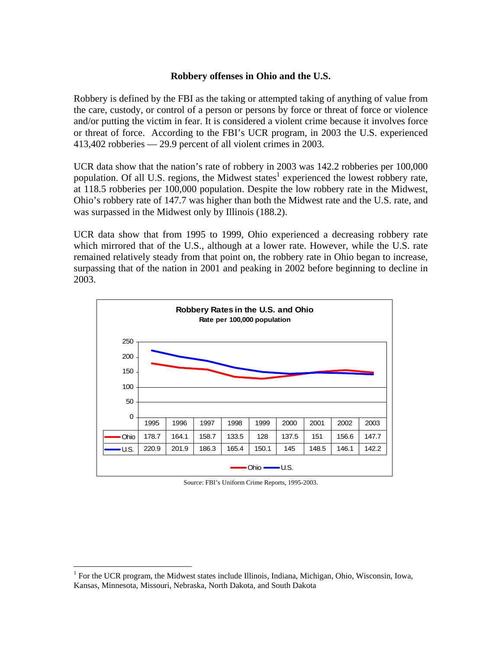### **Robbery offenses in Ohio and the U.S.**

Robbery is defined by the FBI as the taking or attempted taking of anything of value from the care, custody, or control of a person or persons by force or threat of force or violence and/or putting the victim in fear. It is considered a violent crime because it involves force or threat of force. According to the FBI's UCR program, in 2003 the U.S. experienced 413,402 robberies — 29.9 percent of all violent crimes in 2003.

UCR data show that the nation's rate of robbery in 2003 was 142.2 robberies per 100,000 population. Of all U.S. regions, the Midwest states<sup>1</sup> experienced the lowest robbery rate, at 118.5 robberies per 100,000 population. Despite the low robbery rate in the Midwest, Ohio's robbery rate of 147.7 was higher than both the Midwest rate and the U.S. rate, and was surpassed in the Midwest only by Illinois (188.2).

UCR data show that from 1995 to 1999, Ohio experienced a decreasing robbery rate which mirrored that of the U.S., although at a lower rate. However, while the U.S. rate remained relatively steady from that point on, the robbery rate in Ohio began to increase, surpassing that of the nation in 2001 and peaking in 2002 before beginning to decline in 2003.



Source: FBI's Uniform Crime Reports, 1995-2003.

1

<sup>&</sup>lt;sup>1</sup> For the UCR program, the Midwest states include Illinois, Indiana, Michigan, Ohio, Wisconsin, Iowa, Kansas, Minnesota, Missouri, Nebraska, North Dakota, and South Dakota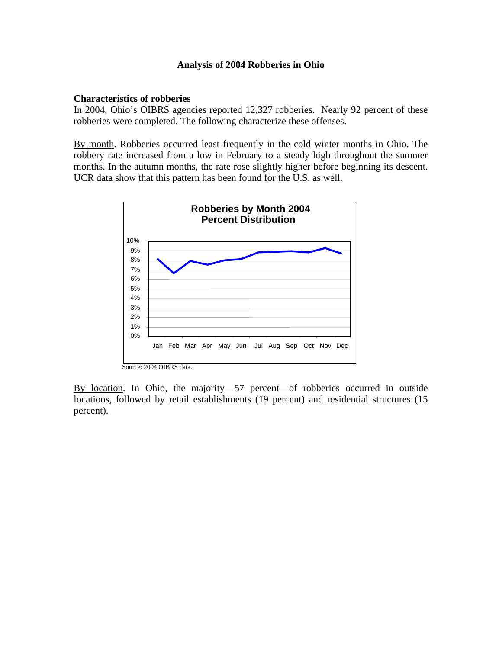#### **Analysis of 2004 Robberies in Ohio**

#### **Characteristics of robberies**

In 2004, Ohio's OIBRS agencies reported 12,327 robberies. Nearly 92 percent of these robberies were completed. The following characterize these offenses.

By month. Robberies occurred least frequently in the cold winter months in Ohio. The robbery rate increased from a low in February to a steady high throughout the summer months. In the autumn months, the rate rose slightly higher before beginning its descent. UCR data show that this pattern has been found for the U.S. as well.



By location. In Ohio, the majority—57 percent—of robberies occurred in outside locations, followed by retail establishments (19 percent) and residential structures (15 percent).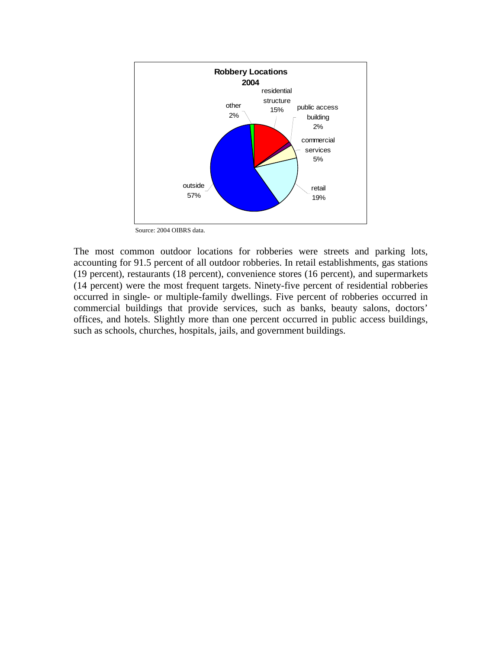

Source: 2004 OIBRS data.

The most common outdoor locations for robberies were streets and parking lots, accounting for 91.5 percent of all outdoor robberies. In retail establishments, gas stations (19 percent), restaurants (18 percent), convenience stores (16 percent), and supermarkets (14 percent) were the most frequent targets. Ninety-five percent of residential robberies occurred in single- or multiple-family dwellings. Five percent of robberies occurred in commercial buildings that provide services, such as banks, beauty salons, doctors' offices, and hotels. Slightly more than one percent occurred in public access buildings, such as schools, churches, hospitals, jails, and government buildings.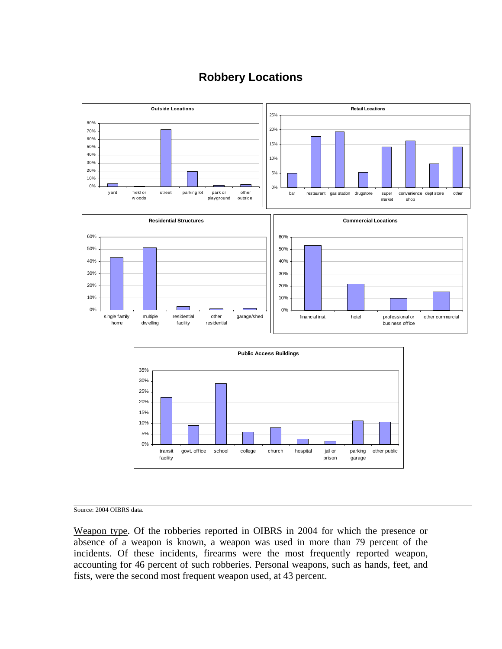

# **Robbery Locations**



Source: 2004 OIBRS data.

Weapon type. Of the robberies reported in OIBRS in 2004 for which the presence or absence of a weapon is known, a weapon was used in more than 79 percent of the incidents. Of these incidents, firearms were the most frequently reported weapon, accounting for 46 percent of such robberies. Personal weapons, such as hands, feet, and fists, were the second most frequent weapon used, at 43 percent.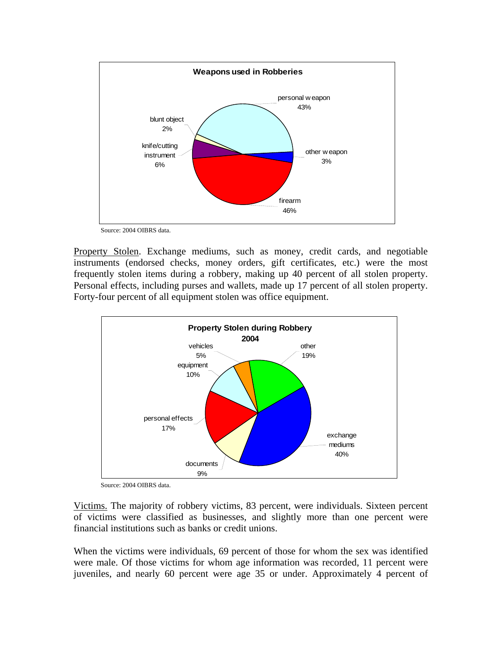

Source: 2004 OIBRS data.

Property Stolen. Exchange mediums, such as money, credit cards, and negotiable instruments (endorsed checks, money orders, gift certificates, etc.) were the most frequently stolen items during a robbery, making up 40 percent of all stolen property. Personal effects, including purses and wallets, made up 17 percent of all stolen property. Forty-four percent of all equipment stolen was office equipment.



Source: 2004 OIBRS data.

Victims. The majority of robbery victims, 83 percent, were individuals. Sixteen percent of victims were classified as businesses, and slightly more than one percent were financial institutions such as banks or credit unions.

When the victims were individuals, 69 percent of those for whom the sex was identified were male. Of those victims for whom age information was recorded, 11 percent were juveniles, and nearly 60 percent were age 35 or under. Approximately 4 percent of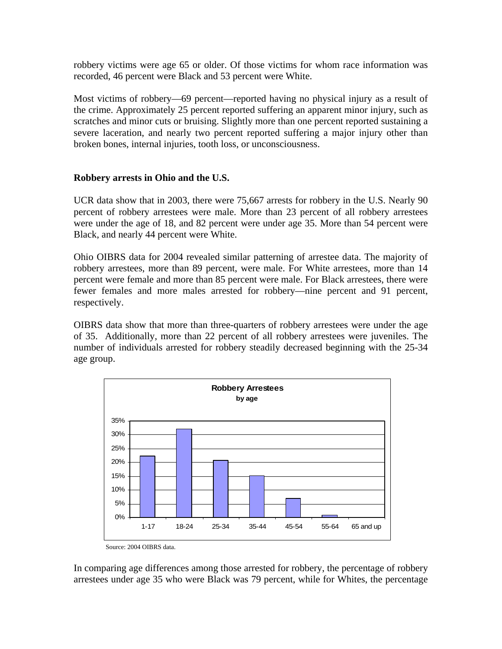robbery victims were age 65 or older. Of those victims for whom race information was recorded, 46 percent were Black and 53 percent were White.

Most victims of robbery—69 percent—reported having no physical injury as a result of the crime. Approximately 25 percent reported suffering an apparent minor injury, such as scratches and minor cuts or bruising. Slightly more than one percent reported sustaining a severe laceration, and nearly two percent reported suffering a major injury other than broken bones, internal injuries, tooth loss, or unconsciousness.

## **Robbery arrests in Ohio and the U.S.**

UCR data show that in 2003, there were 75,667 arrests for robbery in the U.S. Nearly 90 percent of robbery arrestees were male. More than 23 percent of all robbery arrestees were under the age of 18, and 82 percent were under age 35. More than 54 percent were Black, and nearly 44 percent were White.

Ohio OIBRS data for 2004 revealed similar patterning of arrestee data. The majority of robbery arrestees, more than 89 percent, were male. For White arrestees, more than 14 percent were female and more than 85 percent were male. For Black arrestees, there were fewer females and more males arrested for robbery—nine percent and 91 percent, respectively.

OIBRS data show that more than three-quarters of robbery arrestees were under the age of 35. Additionally, more than 22 percent of all robbery arrestees were juveniles. The number of individuals arrested for robbery steadily decreased beginning with the 25-34 age group.



In comparing age differences among those arrested for robbery, the percentage of robbery arrestees under age 35 who were Black was 79 percent, while for Whites, the percentage